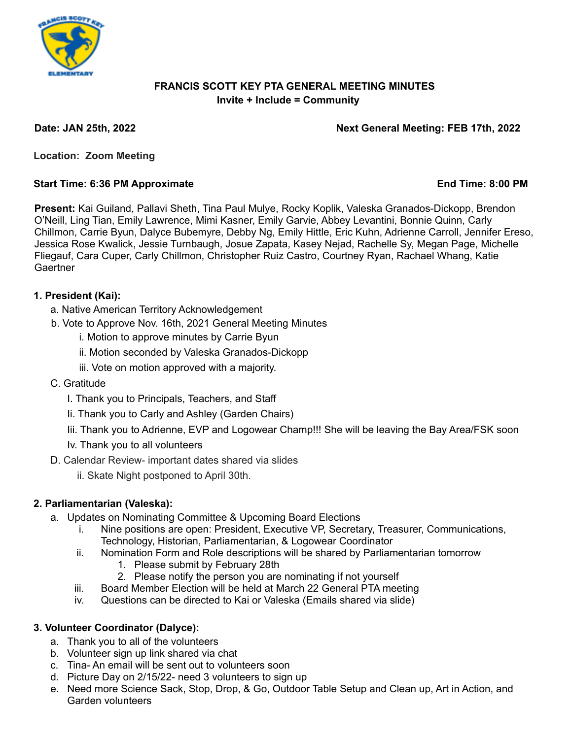

## **FRANCIS SCOTT KEY PTA GENERAL MEETING MINUTES Invite + Include = Community**

#### **Date: JAN 25th, 2022 Next General Meeting: FEB 17th, 2022**

**Location: Zoom Meeting**

#### **Start Time: 6:36 PM Approximate End Time: 8:00 PM**

**Present:** Kai Guiland, Pallavi Sheth, Tina Paul Mulye, Rocky Koplik, Valeska Granados-Dickopp, Brendon O'Neill, Ling Tian, Emily Lawrence, Mimi Kasner, Emily Garvie, Abbey Levantini, Bonnie Quinn, Carly Chillmon, Carrie Byun, Dalyce Bubemyre, Debby Ng, Emily Hittle, Eric Kuhn, Adrienne Carroll, Jennifer Ereso, Jessica Rose Kwalick, Jessie Turnbaugh, Josue Zapata, Kasey Nejad, Rachelle Sy, Megan Page, Michelle Fliegauf, Cara Cuper, Carly Chillmon, Christopher Ruiz Castro, Courtney Ryan, Rachael Whang, Katie **Gaertner** 

## **1. President (Kai):**

- a. Native American Territory Acknowledgement
- b. Vote to Approve Nov. 16th, 2021 General Meeting Minutes
	- i. Motion to approve minutes by Carrie Byun
	- ii. Motion seconded by Valeska Granados-Dickopp
	- iii. Vote on motion approved with a majority.
- C. Gratitude
	- I. Thank you to Principals, Teachers, and Staff
	- Ii. Thank you to Carly and Ashley (Garden Chairs)
	- Iii. Thank you to Adrienne, EVP and Logowear Champ!!! She will be leaving the Bay Area/FSK soon
	- Iv. Thank you to all volunteers
- D. Calendar Review- important dates shared via slides
	- ii. Skate Night postponed to April 30th.

# **2. Parliamentarian (Valeska):**

- a. Updates on Nominating Committee & Upcoming Board Elections
	- i. Nine positions are open: President, Executive VP, Secretary, Treasurer, Communications, Technology, Historian, Parliamentarian, & Logowear Coordinator
	- ii. Nomination Form and Role descriptions will be shared by Parliamentarian tomorrow
		- 1. Please submit by February 28th
		- 2. Please notify the person you are nominating if not yourself
	- iii. Board Member Election will be held at March 22 General PTA meeting
	- iv. Questions can be directed to Kai or Valeska (Emails shared via slide)

# **3. Volunteer Coordinator (Dalyce):**

- a. Thank you to all of the volunteers
- b. Volunteer sign up link shared via chat
- c. Tina- An email will be sent out to volunteers soon
- d. Picture Day on 2/15/22- need 3 volunteers to sign up
- e. Need more Science Sack, Stop, Drop, & Go, Outdoor Table Setup and Clean up, Art in Action, and Garden volunteers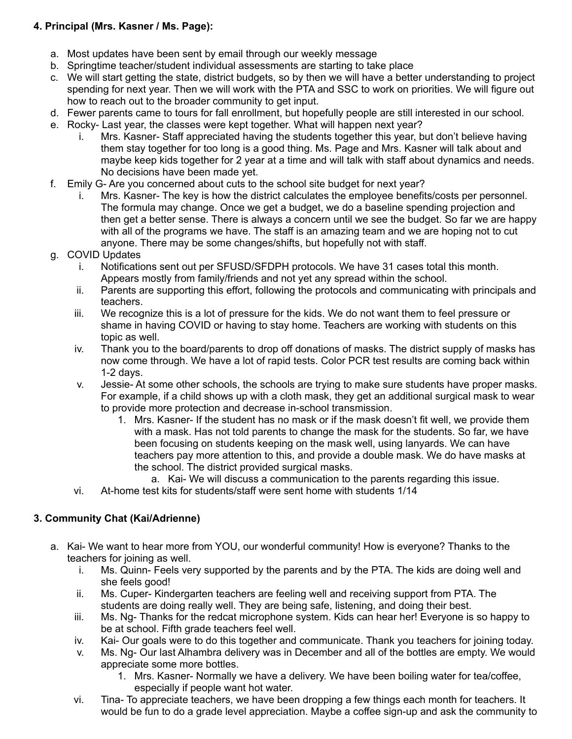# **4. Principal (Mrs. Kasner / Ms. Page):**

- a. Most updates have been sent by email through our weekly message
- b. Springtime teacher/student individual assessments are starting to take place
- c. We will start getting the state, district budgets, so by then we will have a better understanding to project spending for next year. Then we will work with the PTA and SSC to work on priorities. We will figure out how to reach out to the broader community to get input.
- d. Fewer parents came to tours for fall enrollment, but hopefully people are still interested in our school.
- e. Rocky- Last year, the classes were kept together. What will happen next year?
	- i. Mrs. Kasner- Staff appreciated having the students together this year, but don't believe having them stay together for too long is a good thing. Ms. Page and Mrs. Kasner will talk about and maybe keep kids together for 2 year at a time and will talk with staff about dynamics and needs. No decisions have been made yet.
- f. Emily G- Are you concerned about cuts to the school site budget for next year?
	- i. Mrs. Kasner- The key is how the district calculates the employee benefits/costs per personnel. The formula may change. Once we get a budget, we do a baseline spending projection and then get a better sense. There is always a concern until we see the budget. So far we are happy with all of the programs we have. The staff is an amazing team and we are hoping not to cut anyone. There may be some changes/shifts, but hopefully not with staff.
- g. COVID Updates
	- i. Notifications sent out per SFUSD/SFDPH protocols. We have 31 cases total this month. Appears mostly from family/friends and not yet any spread within the school.
	- ii. Parents are supporting this effort, following the protocols and communicating with principals and teachers.
	- iii. We recognize this is a lot of pressure for the kids. We do not want them to feel pressure or shame in having COVID or having to stay home. Teachers are working with students on this topic as well.
	- iv. Thank you to the board/parents to drop off donations of masks. The district supply of masks has now come through. We have a lot of rapid tests. Color PCR test results are coming back within 1-2 days.
	- v. Jessie- At some other schools, the schools are trying to make sure students have proper masks. For example, if a child shows up with a cloth mask, they get an additional surgical mask to wear to provide more protection and decrease in-school transmission.
		- 1. Mrs. Kasner- If the student has no mask or if the mask doesn't fit well, we provide them with a mask. Has not told parents to change the mask for the students. So far, we have been focusing on students keeping on the mask well, using lanyards. We can have teachers pay more attention to this, and provide a double mask. We do have masks at the school. The district provided surgical masks.
		- a. Kai- We will discuss a communication to the parents regarding this issue.
	- vi. At-home test kits for students/staff were sent home with students 1/14

## **3. Community Chat (Kai/Adrienne)**

- a. Kai- We want to hear more from YOU, our wonderful community! How is everyone? Thanks to the teachers for joining as well.
	- i. Ms. Quinn- Feels very supported by the parents and by the PTA. The kids are doing well and she feels good!
	- ii. Ms. Cuper- Kindergarten teachers are feeling well and receiving support from PTA. The students are doing really well. They are being safe, listening, and doing their best.
	- iii. Ms. Ng- Thanks for the redcat microphone system. Kids can hear her! Everyone is so happy to be at school. Fifth grade teachers feel well.
	- iv. Kai- Our goals were to do this together and communicate. Thank you teachers for joining today.
	- v. Ms. Ng- Our last Alhambra delivery was in December and all of the bottles are empty. We would appreciate some more bottles.
		- 1. Mrs. Kasner- Normally we have a delivery. We have been boiling water for tea/coffee, especially if people want hot water.
	- vi. Tina- To appreciate teachers, we have been dropping a few things each month for teachers. It would be fun to do a grade level appreciation. Maybe a coffee sign-up and ask the community to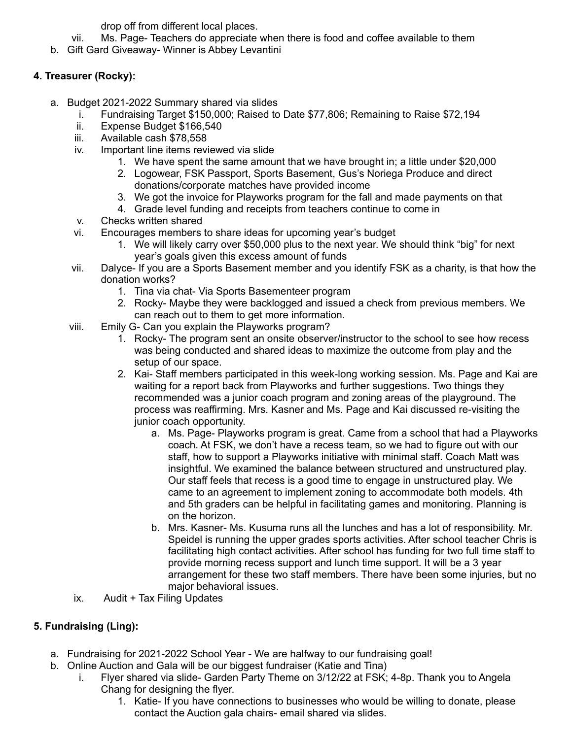drop off from different local places.

- vii. Ms. Page- Teachers do appreciate when there is food and coffee available to them
- b. Gift Gard Giveaway- Winner is Abbey Levantini

# **4. Treasurer (Rocky):**

- a. Budget 2021-2022 Summary shared via slides
	- i. Fundraising Target \$150,000; Raised to Date \$77,806; Remaining to Raise \$72,194
	- ii. Expense Budget \$166,540
	- iii. Available cash \$78,558
	- iv. Important line items reviewed via slide
		- 1. We have spent the same amount that we have brought in; a little under \$20,000
		- 2. Logowear, FSK Passport, Sports Basement, Gus's Noriega Produce and direct donations/corporate matches have provided income
		- 3. We got the invoice for Playworks program for the fall and made payments on that
		- 4. Grade level funding and receipts from teachers continue to come in
	- v. Checks written shared
	- vi. Encourages members to share ideas for upcoming year's budget
		- 1. We will likely carry over \$50,000 plus to the next year. We should think "big" for next year's goals given this excess amount of funds
	- vii. Dalyce- If you are a Sports Basement member and you identify FSK as a charity, is that how the donation works?
		- 1. Tina via chat- Via Sports Basementeer program
		- 2. Rocky- Maybe they were backlogged and issued a check from previous members. We can reach out to them to get more information.
	- viii. Emily G- Can you explain the Playworks program?
		- 1. Rocky- The program sent an onsite observer/instructor to the school to see how recess was being conducted and shared ideas to maximize the outcome from play and the setup of our space.
		- 2. Kai- Staff members participated in this week-long working session. Ms. Page and Kai are waiting for a report back from Playworks and further suggestions. Two things they recommended was a junior coach program and zoning areas of the playground. The process was reaffirming. Mrs. Kasner and Ms. Page and Kai discussed re-visiting the junior coach opportunity.
			- a. Ms. Page- Playworks program is great. Came from a school that had a Playworks coach. At FSK, we don't have a recess team, so we had to figure out with our staff, how to support a Playworks initiative with minimal staff. Coach Matt was insightful. We examined the balance between structured and unstructured play. Our staff feels that recess is a good time to engage in unstructured play. We came to an agreement to implement zoning to accommodate both models. 4th and 5th graders can be helpful in facilitating games and monitoring. Planning is on the horizon.
			- b. Mrs. Kasner- Ms. Kusuma runs all the lunches and has a lot of responsibility. Mr. Speidel is running the upper grades sports activities. After school teacher Chris is facilitating high contact activities. After school has funding for two full time staff to provide morning recess support and lunch time support. It will be a 3 year arrangement for these two staff members. There have been some injuries, but no major behavioral issues.
	- ix. Audit + Tax Filing Updates

# **5. Fundraising (Ling):**

- a. Fundraising for 2021-2022 School Year We are halfway to our fundraising goal!
- b. Online Auction and Gala will be our biggest fundraiser (Katie and Tina)
	- Flyer shared via slide- Garden Party Theme on 3/12/22 at FSK; 4-8p. Thank you to Angela Chang for designing the flyer.
		- 1. Katie- If you have connections to businesses who would be willing to donate, please contact the Auction gala chairs- email shared via slides.